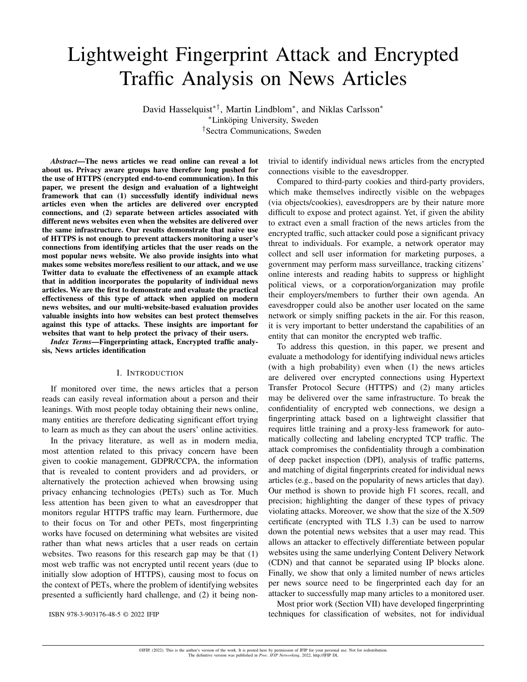# Lightweight Fingerprint Attack and Encrypted Traffic Analysis on News Articles

David Hasselquist∗†, Martin Lindblom<sup>∗</sup> , and Niklas Carlsson<sup>∗</sup> <sup>∗</sup>Linkoping University, Sweden ¨ †Sectra Communications, Sweden

*Abstract*—The news articles we read online can reveal a lot about us. Privacy aware groups have therefore long pushed for the use of HTTPS (encrypted end-to-end communication). In this paper, we present the design and evaluation of a lightweight framework that can (1) successfully identify individual news articles even when the articles are delivered over encrypted connections, and (2) separate between articles associated with different news websites even when the websites are delivered over the same infrastructure. Our results demonstrate that naive use of HTTPS is not enough to prevent attackers monitoring a user's connections from identifying articles that the user reads on the most popular news website. We also provide insights into what makes some websites more/less resilient to our attack, and we use Twitter data to evaluate the effectiveness of an example attack that in addition incorporates the popularity of individual news articles. We are the first to demonstrate and evaluate the practical effectiveness of this type of attack when applied on modern news websites, and our multi-website-based evaluation provides valuable insights into how websites can best protect themselves against this type of attacks. These insights are important for websites that want to help protect the privacy of their users.

*Index Terms*—Fingerprinting attack, Encrypted traffic analysis, News articles identification

# I. INTRODUCTION

If monitored over time, the news articles that a person reads can easily reveal information about a person and their leanings. With most people today obtaining their news online, many entities are therefore dedicating significant effort trying to learn as much as they can about the users' online activities.

In the privacy literature, as well as in modern media, most attention related to this privacy concern have been given to cookie management, GDPR/CCPA, the information that is revealed to content providers and ad providers, or alternatively the protection achieved when browsing using privacy enhancing technologies (PETs) such as Tor. Much less attention has been given to what an eavesdropper that monitors regular HTTPS traffic may learn. Furthermore, due to their focus on Tor and other PETs, most fingerprinting works have focused on determining what websites are visited rather than what news articles that a user reads on certain websites. Two reasons for this research gap may be that (1) most web traffic was not encrypted until recent years (due to initially slow adoption of HTTPS), causing most to focus on the context of PETs, where the problem of identifying websites presented a sufficiently hard challenge, and (2) it being nontrivial to identify individual news articles from the encrypted connections visible to the eavesdropper.

Compared to third-party cookies and third-party providers, which make themselves indirectly visible on the webpages (via objects/cookies), eavesdroppers are by their nature more difficult to expose and protect against. Yet, if given the ability to extract even a small fraction of the news articles from the encrypted traffic, such attacker could pose a significant privacy threat to individuals. For example, a network operator may collect and sell user information for marketing purposes, a government may perform mass surveillance, tracking citizens' online interests and reading habits to suppress or highlight political views, or a corporation/organization may profile their employers/members to further their own agenda. An eavesdropper could also be another user located on the same network or simply sniffing packets in the air. For this reason, it is very important to better understand the capabilities of an entity that can monitor the encrypted web traffic.

To address this question, in this paper, we present and evaluate a methodology for identifying individual news articles (with a high probability) even when (1) the news articles are delivered over encrypted connections using Hypertext Transfer Protocol Secure (HTTPS) and (2) many articles may be delivered over the same infrastructure. To break the confidentiality of encrypted web connections, we design a fingerprinting attack based on a lightweight classifier that requires little training and a proxy-less framework for automatically collecting and labeling encrypted TCP traffic. The attack compromises the confidentiality through a combination of deep packet inspection (DPI), analysis of traffic patterns, and matching of digital fingerprints created for individual news articles (e.g., based on the popularity of news articles that day). Our method is shown to provide high F1 scores, recall, and precision; highlighting the danger of these types of privacy violating attacks. Moreover, we show that the size of the X.509 certificate (encrypted with TLS 1.3) can be used to narrow down the potential news websites that a user may read. This allows an attacker to effectively differentiate between popular websites using the same underlying Content Delivery Network (CDN) and that cannot be separated using IP blocks alone. Finally, we show that only a limited number of news articles per news source need to be fingerprinted each day for an attacker to successfully map many articles to a monitored user.

Most prior work (Section VII) have developed fingerprinting techniques for classification of websites, not for individual

ISBN 978-3-903176-48-5 © 2022 IFIP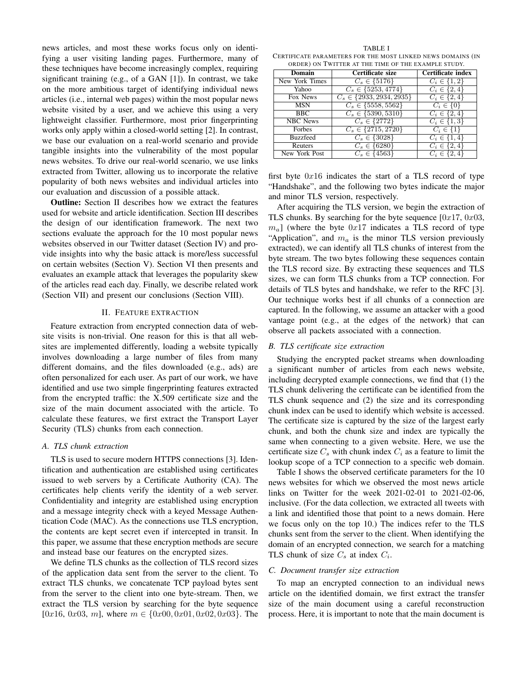news articles, and most these works focus only on identifying a user visiting landing pages. Furthermore, many of these techniques have become increasingly complex, requiring significant training (e.g., of a GAN [1]). In contrast, we take on the more ambitious target of identifying individual news articles (i.e., internal web pages) within the most popular news website visited by a user, and we achieve this using a very lightweight classifier. Furthermore, most prior fingerprinting works only apply within a closed-world setting [2]. In contrast, we base our evaluation on a real-world scenario and provide tangible insights into the vulnerability of the most popular news websites. To drive our real-world scenario, we use links extracted from Twitter, allowing us to incorporate the relative popularity of both news websites and individual articles into our evaluation and discussion of a possible attack.

Outline: Section II describes how we extract the features used for website and article identification. Section III describes the design of our identification framework. The next two sections evaluate the approach for the 10 most popular news websites observed in our Twitter dataset (Section IV) and provide insights into why the basic attack is more/less successful on certain websites (Section V). Section VI then presents and evaluates an example attack that leverages the popularity skew of the articles read each day. Finally, we describe related work (Section VII) and present our conclusions (Section VIII).

#### II. FEATURE EXTRACTION

Feature extraction from encrypted connection data of website visits is non-trivial. One reason for this is that all websites are implemented differently, loading a website typically involves downloading a large number of files from many different domains, and the files downloaded (e.g., ads) are often personalized for each user. As part of our work, we have identified and use two simple fingerprinting features extracted from the encrypted traffic: the X.509 certificate size and the size of the main document associated with the article. To calculate these features, we first extract the Transport Layer Security (TLS) chunks from each connection.

# *A. TLS chunk extraction*

TLS is used to secure modern HTTPS connections [3]. Identification and authentication are established using certificates issued to web servers by a Certificate Authority (CA). The certificates help clients verify the identity of a web server. Confidentiality and integrity are established using encryption and a message integrity check with a keyed Message Authentication Code (MAC). As the connections use TLS encryption, the contents are kept secret even if intercepted in transit. In this paper, we assume that these encryption methods are secure and instead base our features on the encrypted sizes.

We define TLS chunks as the collection of TLS record sizes of the application data sent from the server to the client. To extract TLS chunks, we concatenate TCP payload bytes sent from the server to the client into one byte-stream. Then, we extract the TLS version by searching for the byte sequence [0x16, 0x03, m], where  $m \in \{0x00, 0x01, 0x02, 0x03\}$ . The

TABLE I CERTIFICATE PARAMETERS FOR THE MOST LINKED NEWS DOMAINS (IN ORDER) ON TWITTER AT THE TIME OF THE EXAMPLE STUDY.

| Domain          | Certificate size               | Certificate index  |  |  |
|-----------------|--------------------------------|--------------------|--|--|
| New York Times  | $C_s \in \{5176\}$             | $C_i \in \{1,2\}$  |  |  |
| Yahoo           | $C_s \in \{5253, 4774\}$       | $C_i \in \{2, 4\}$ |  |  |
| Fox News        | $C_s \in \{2933, 2934, 2935\}$ | $C_i \in \{2, 4\}$ |  |  |
| <b>MSN</b>      | $C_s \in \{5558, 5562\}$       | $C_i \in \{0\}$    |  |  |
| <b>BBC</b>      | $C_s \in \{5390, 5310\}$       | $C_i \in \{2, 4\}$ |  |  |
| <b>NBC</b> News | $C_s \in \{2772\}$             | $C_i \in \{1,3\}$  |  |  |
| Forbes          | $C_s \in \{2715, 2720\}$       | $C_i \in \{1\}$    |  |  |
| <b>Buzzfeed</b> | $C_s \in \{3028\}$             | $C_i \in \{1, 4\}$ |  |  |
| Reuters         | $C_s \in \{6280\}$             | $C_i \in \{2, 4\}$ |  |  |
| New York Post   | $C_s \in \{4563\}$             | $C_i \in \{2, 4\}$ |  |  |

first byte  $0x16$  indicates the start of a TLS record of type "Handshake", and the following two bytes indicate the major and minor TLS version, respectively.

After acquiring the TLS version, we begin the extraction of TLS chunks. By searching for the byte sequence  $[0x17, 0x03,$  $m_a$ ] (where the byte  $0x17$  indicates a TLS record of type "Application", and  $m_a$  is the minor TLS version previously extracted), we can identify all TLS chunks of interest from the byte stream. The two bytes following these sequences contain the TLS record size. By extracting these sequences and TLS sizes, we can form TLS chunks from a TCP connection. For details of TLS bytes and handshake, we refer to the RFC [3]. Our technique works best if all chunks of a connection are captured. In the following, we assume an attacker with a good vantage point (e.g., at the edges of the network) that can observe all packets associated with a connection.

#### *B. TLS certificate size extraction*

Studying the encrypted packet streams when downloading a significant number of articles from each news website, including decrypted example connections, we find that (1) the TLS chunk delivering the certificate can be identified from the TLS chunk sequence and (2) the size and its corresponding chunk index can be used to identify which website is accessed. The certificate size is captured by the size of the largest early chunk, and both the chunk size and index are typically the same when connecting to a given website. Here, we use the certificate size  $C_s$  with chunk index  $C_i$  as a feature to limit the lookup scope of a TCP connection to a specific web domain.

Table I shows the observed certificate parameters for the 10 news websites for which we observed the most news article links on Twitter for the week 2021-02-01 to 2021-02-06, inclusive. (For the data collection, we extracted all tweets with a link and identified those that point to a news domain. Here we focus only on the top 10.) The indices refer to the TLS chunks sent from the server to the client. When identifying the domain of an encrypted connection, we search for a matching TLS chunk of size  $C_s$  at index  $C_i$ .

# *C. Document transfer size extraction*

To map an encrypted connection to an individual news article on the identified domain, we first extract the transfer size of the main document using a careful reconstruction process. Here, it is important to note that the main document is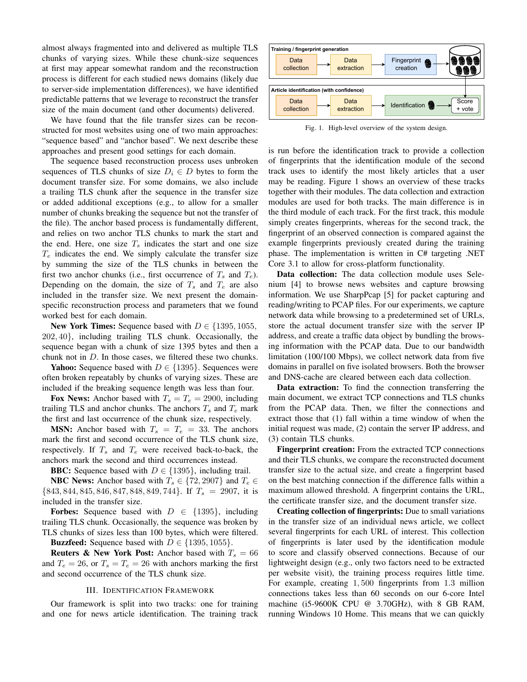almost always fragmented into and delivered as multiple TLS chunks of varying sizes. While these chunk-size sequences at first may appear somewhat random and the reconstruction process is different for each studied news domains (likely due to server-side implementation differences), we have identified predictable patterns that we leverage to reconstruct the transfer size of the main document (and other documents) delivered.

We have found that the file transfer sizes can be reconstructed for most websites using one of two main approaches: "sequence based" and "anchor based". We next describe these approaches and present good settings for each domain.

The sequence based reconstruction process uses unbroken sequences of TLS chunks of size  $D_i \in D$  bytes to form the document transfer size. For some domains, we also include a trailing TLS chunk after the sequence in the transfer size or added additional exceptions (e.g., to allow for a smaller number of chunks breaking the sequence but not the transfer of the file). The anchor based process is fundamentally different, and relies on two anchor TLS chunks to mark the start and the end. Here, one size  $T_s$  indicates the start and one size  $T_e$  indicates the end. We simply calculate the transfer size by summing the size of the TLS chunks in between the first two anchor chunks (i.e., first occurrence of  $T_s$  and  $T_e$ ). Depending on the domain, the size of  $T_s$  and  $T_e$  are also included in the transfer size. We next present the domainspecific reconstruction process and parameters that we found worked best for each domain.

New York Times: Sequence based with  $D \in \{1395, 1055,$ 202, 40}, including trailing TLS chunk. Occasionally, the sequence began with a chunk of size 1395 bytes and then a chunk not in D. In those cases, we filtered these two chunks.

**Yahoo:** Sequence based with  $D \in \{1395\}$ . Sequences were often broken repeatably by chunks of varying sizes. These are included if the breaking sequence length was less than four.

Fox News: Anchor based with  $T_s = T_e = 2900$ , including trailing TLS and anchor chunks. The anchors  $T_s$  and  $T_e$  mark the first and last occurrence of the chunk size, respectively.

**MSN:** Anchor based with  $T_s = T_e = 33$ . The anchors mark the first and second occurrence of the TLS chunk size, respectively. If  $T_s$  and  $T_e$  were received back-to-back, the anchors mark the second and third occurrences instead.

**BBC:** Sequence based with  $D \in \{1395\}$ , including trail.

**NBC News:** Anchor based with  $T_s \in \{72, 2907\}$  and  $T_e \in$  ${843, 844, 845, 846, 847, 848, 849, 744}.$  If  $T_s = 2907$ , it is included in the transfer size.

**Forbes:** Sequence based with  $D \in \{1395\}$ , including trailing TLS chunk. Occasionally, the sequence was broken by TLS chunks of sizes less than 100 bytes, which were filtered.

**Buzzfeed:** Sequence based with  $D \in \{1395, 1055\}$ .

**Reuters & New York Post:** Anchor based with  $T_s = 66$ and  $T_e = 26$ , or  $T_s = T_e = 26$  with anchors marking the first and second occurrence of the TLS chunk size.

# III. IDENTIFICATION FRAMEWORK

Our framework is split into two tracks: one for training and one for news article identification. The training track



Fig. 1. High-level overview of the system design.

is run before the identification track to provide a collection of fingerprints that the identification module of the second track uses to identify the most likely articles that a user may be reading. Figure 1 shows an overview of these tracks together with their modules. The data collection and extraction modules are used for both tracks. The main difference is in the third module of each track. For the first track, this module simply creates fingerprints, whereas for the second track, the fingerprint of an observed connection is compared against the example fingerprints previously created during the training phase. The implementation is written in C# targeting .NET Core 3.1 to allow for cross-platform functionality.

Data collection: The data collection module uses Selenium [4] to browse news websites and capture browsing information. We use SharpPcap [5] for packet capturing and reading/writing to PCAP files. For our experiments, we capture network data while browsing to a predetermined set of URLs, store the actual document transfer size with the server IP address, and create a traffic data object by bundling the browsing information with the PCAP data. Due to our bandwidth limitation (100/100 Mbps), we collect network data from five domains in parallel on five isolated browsers. Both the browser and DNS-cache are cleared between each data collection.

Data extraction: To find the connection transferring the main document, we extract TCP connections and TLS chunks from the PCAP data. Then, we filter the connections and extract those that (1) fall within a time window of when the initial request was made, (2) contain the server IP address, and (3) contain TLS chunks.

Fingerprint creation: From the extracted TCP connections and their TLS chunks, we compare the reconstructed document transfer size to the actual size, and create a fingerprint based on the best matching connection if the difference falls within a maximum allowed threshold. A fingerprint contains the URL, the certificate transfer size, and the document transfer size.

Creating collection of fingerprints: Due to small variations in the transfer size of an individual news article, we collect several fingerprints for each URL of interest. This collection of fingerprints is later used by the identification module to score and classify observed connections. Because of our lightweight design (e.g., only two factors need to be extracted per website visit), the training process requires little time. For example, creating 1, 500 fingerprints from 1.3 million connections takes less than 60 seconds on our 6-core Intel machine (i5-9600K CPU @ 3.70GHz), with 8 GB RAM, running Windows 10 Home. This means that we can quickly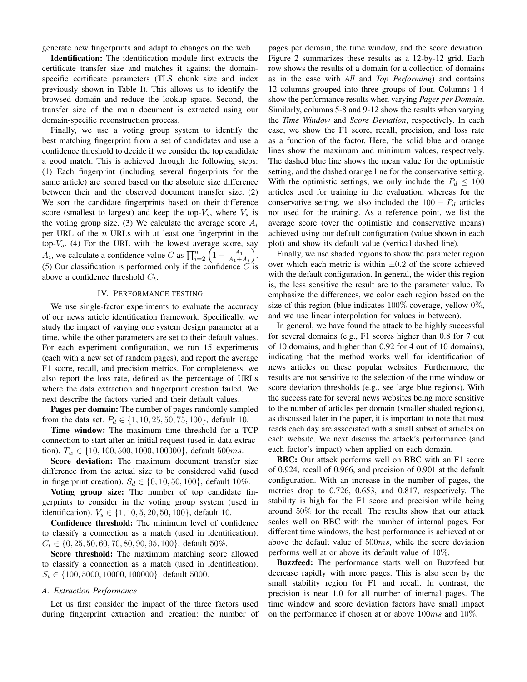generate new fingerprints and adapt to changes on the web.

Identification: The identification module first extracts the certificate transfer size and matches it against the domainspecific certificate parameters (TLS chunk size and index previously shown in Table I). This allows us to identify the browsed domain and reduce the lookup space. Second, the transfer size of the main document is extracted using our domain-specific reconstruction process.

Finally, we use a voting group system to identify the best matching fingerprint from a set of candidates and use a confidence threshold to decide if we consider the top candidate a good match. This is achieved through the following steps: (1) Each fingerprint (including several fingerprints for the same article) are scored based on the absolute size difference between their and the observed document transfer size. (2) We sort the candidate fingerprints based on their difference score (smallest to largest) and keep the top- $V_s$ , where  $V_s$  is the voting group size. (3) We calculate the average score  $A_i$ per URL of the  $n$  URLs with at least one fingerprint in the top- $V_s$ . (4) For the URL with the lowest average score, say  $A_i$ , we calculate a confidence value C as  $\prod_{i=2}^{n} \left(1 - \frac{A_1}{A_1 + A_i}\right)$ . (5) Our classification is performed only if the confidence  $C$  is above a confidence threshold  $C_t$ .

# IV. PERFORMANCE TESTING

We use single-factor experiments to evaluate the accuracy of our news article identification framework. Specifically, we study the impact of varying one system design parameter at a time, while the other parameters are set to their default values. For each experiment configuration, we run 15 experiments (each with a new set of random pages), and report the average F1 score, recall, and precision metrics. For completeness, we also report the loss rate, defined as the percentage of URLs where the data extraction and fingerprint creation failed. We next describe the factors varied and their default values.

Pages per domain: The number of pages randomly sampled from the data set.  $P_d \in \{1, 10, 25, 50, 75, 100\}$ , default 10.

Time window: The maximum time threshold for a TCP connection to start after an initial request (used in data extraction).  $T_w \in \{10, 100, 500, 1000, 100000\}$ , default 500ms.

Score deviation: The maximum document transfer size difference from the actual size to be considered valid (used in fingerprint creation).  $S_d \in \{0, 10, 50, 100\}$ , default 10%.

Voting group size: The number of top candidate fingerprints to consider in the voting group system (used in identification).  $V_s \in \{1, 10, 5, 20, 50, 100\}$ , default 10.

Confidence threshold: The minimum level of confidence to classify a connection as a match (used in identification).  $C_t \in \{0, 25, 50, 60, 70, 80, 90, 95, 100\}$ , default 50%.

Score threshold: The maximum matching score allowed to classify a connection as a match (used in identification).  $S_t \in \{100, 5000, 10000, 100000\}$ , default 5000.

# *A. Extraction Performance*

Let us first consider the impact of the three factors used during fingerprint extraction and creation: the number of

pages per domain, the time window, and the score deviation. Figure 2 summarizes these results as a 12-by-12 grid. Each row shows the results of a domain (or a collection of domains as in the case with *All* and *Top Performing*) and contains 12 columns grouped into three groups of four. Columns 1-4 show the performance results when varying *Pages per Domain*. Similarly, columns 5-8 and 9-12 show the results when varying the *Time Window* and *Score Deviation*, respectively. In each case, we show the F1 score, recall, precision, and loss rate as a function of the factor. Here, the solid blue and orange lines show the maximum and minimum values, respectively. The dashed blue line shows the mean value for the optimistic setting, and the dashed orange line for the conservative setting. With the optimistic settings, we only include the  $P_d \leq 100$ articles used for training in the evaluation, whereas for the conservative setting, we also included the  $100 - P_d$  articles not used for the training. As a reference point, we list the average score (over the optimistic and conservative means) achieved using our default configuration (value shown in each plot) and show its default value (vertical dashed line).

Finally, we use shaded regions to show the parameter region over which each metric is within  $\pm 0.2$  of the score achieved with the default configuration. In general, the wider this region is, the less sensitive the result are to the parameter value. To emphasize the differences, we color each region based on the size of this region (blue indicates  $100\%$  coverage, yellow  $0\%$ , and we use linear interpolation for values in between).

In general, we have found the attack to be highly successful for several domains (e.g., F1 scores higher than 0.8 for 7 out of 10 domains, and higher than 0.92 for 4 out of 10 domains), indicating that the method works well for identification of news articles on these popular websites. Furthermore, the results are not sensitive to the selection of the time window or score deviation thresholds (e.g., see large blue regions). With the success rate for several news websites being more sensitive to the number of articles per domain (smaller shaded regions), as discussed later in the paper, it is important to note that most reads each day are associated with a small subset of articles on each website. We next discuss the attack's performance (and each factor's impact) when applied on each domain.

BBC: Our attack performs well on BBC with an F1 score of 0.924, recall of 0.966, and precision of 0.901 at the default configuration. With an increase in the number of pages, the metrics drop to 0.726, 0.653, and 0.817, respectively. The stability is high for the F1 score and precision while being around 50% for the recall. The results show that our attack scales well on BBC with the number of internal pages. For different time windows, the best performance is achieved at or above the default value of 500ms, while the score deviation performs well at or above its default value of 10%.

Buzzfeed: The performance starts well on Buzzfeed but decrease rapidly with more pages. This is also seen by the small stability region for F1 and recall. In contrast, the precision is near 1.0 for all number of internal pages. The time window and score deviation factors have small impact on the performance if chosen at or above  $100ms$  and  $10\%$ .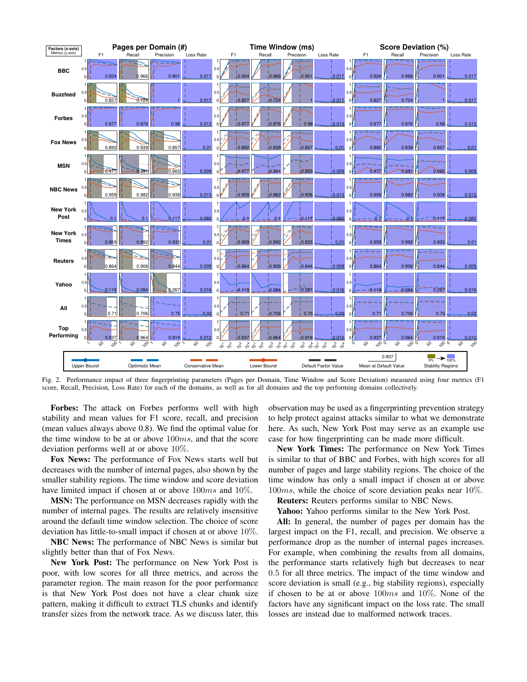

Fig. 2. Performance impact of three fingerprinting parameters (Pages per Domain, Time Window and Score Deviation) measured using four metrics (F1 score, Recall, Precision, Loss Rate) for each of the domains, as well as for all domains and the top performing domains collectively.

Forbes: The attack on Forbes performs well with high stability and mean values for F1 score, recall, and precision (mean values always above 0.8). We find the optimal value for the time window to be at or above  $100ms$ , and that the score deviation performs well at or above 10%.

Fox News: The performance of Fox News starts well but decreases with the number of internal pages, also shown by the smaller stability regions. The time window and score deviation have limited impact if chosen at or above  $100ms$  and  $10\%$ .

MSN: The performance on MSN decreases rapidly with the number of internal pages. The results are relatively insensitive around the default time window selection. The choice of score deviation has little-to-small impact if chosen at or above 10%.

NBC News: The performance of NBC News is similar but slightly better than that of Fox News.

New York Post: The performance on New York Post is poor, with low scores for all three metrics, and across the parameter region. The main reason for the poor performance is that New York Post does not have a clear chunk size pattern, making it difficult to extract TLS chunks and identify transfer sizes from the network trace. As we discuss later, this observation may be used as a fingerprinting prevention strategy to help protect against attacks similar to what we demonstrate here. As such, New York Post may serve as an example use case for how fingerprinting can be made more difficult.

New York Times: The performance on New York Times is similar to that of BBC and Forbes, with high scores for all number of pages and large stability regions. The choice of the time window has only a small impact if chosen at or above 100ms, while the choice of score deviation peaks near 10%.

Reuters: Reuters performs similar to NBC News.

Yahoo: Yahoo performs similar to the New York Post.

All: In general, the number of pages per domain has the largest impact on the F1, recall, and precision. We observe a performance drop as the number of internal pages increases. For example, when combining the results from all domains, the performance starts relatively high but decreases to near 0.5 for all three metrics. The impact of the time window and score deviation is small (e.g., big stability regions), especially if chosen to be at or above  $100ms$  and  $10\%$ . None of the factors have any significant impact on the loss rate. The small losses are instead due to malformed network traces.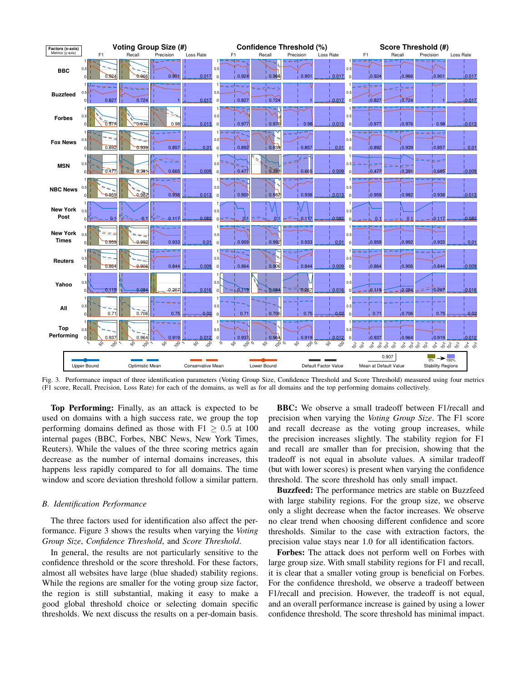

Fig. 3. Performance impact of three identification parameters (Voting Group Size, Confidence Threshold and Score Threshold) measured using four metrics (F1 score, Recall, Precision, Loss Rate) for each of the domains, as well as for all domains and the top performing domains collectively.

Top Performing: Finally, as an attack is expected to be used on domains with a high success rate, we group the top performing domains defined as those with  $F1 \geq 0.5$  at 100 internal pages (BBC, Forbes, NBC News, New York Times, Reuters). While the values of the three scoring metrics again decrease as the number of internal domains increases, this happens less rapidly compared to for all domains. The time window and score deviation threshold follow a similar pattern.

#### *B. Identification Performance*

The three factors used for identification also affect the performance. Figure 3 shows the results when varying the *Voting Group Size*, *Confidence Threshold*, and *Score Threshold*.

In general, the results are not particularly sensitive to the confidence threshold or the score threshold. For these factors, almost all websites have large (blue shaded) stability regions. While the regions are smaller for the voting group size factor, the region is still substantial, making it easy to make a good global threshold choice or selecting domain specific thresholds. We next discuss the results on a per-domain basis.

BBC: We observe a small tradeoff between F1/recall and precision when varying the *Voting Group Size*. The F1 score and recall decrease as the voting group increases, while the precision increases slightly. The stability region for F1 and recall are smaller than for precision, showing that the tradeoff is not equal in absolute values. A similar tradeoff (but with lower scores) is present when varying the confidence threshold. The score threshold has only small impact.

**Buzzfeed:** The performance metrics are stable on Buzzfeed with large stability regions. For the group size, we observe only a slight decrease when the factor increases. We observe no clear trend when choosing different confidence and score thresholds. Similar to the case with extraction factors, the precision value stays near 1.0 for all identification factors.

Forbes: The attack does not perform well on Forbes with large group size. With small stability regions for F1 and recall, it is clear that a smaller voting group is beneficial on Forbes. For the confidence threshold, we observe a tradeoff between F1/recall and precision. However, the tradeoff is not equal, and an overall performance increase is gained by using a lower confidence threshold. The score threshold has minimal impact.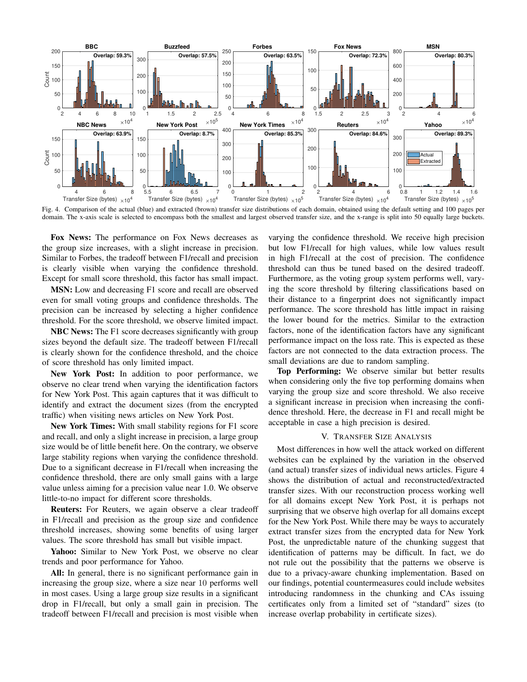

Fig. 4. Comparison of the actual (blue) and extracted (brown) transfer size distributions of each domain, obtained using the default setting and 100 pages per domain. The x-axis scale is selected to encompass both the smallest and largest observed transfer size, and the x-range is split into 50 equally large buckets.

Fox News: The performance on Fox News decreases as the group size increases, with a slight increase in precision. Similar to Forbes, the tradeoff between F1/recall and precision is clearly visible when varying the confidence threshold. Except for small score threshold, this factor has small impact.

MSN: Low and decreasing F1 score and recall are observed even for small voting groups and confidence thresholds. The precision can be increased by selecting a higher confidence threshold. For the score threshold, we observe limited impact.

NBC News: The F1 score decreases significantly with group sizes beyond the default size. The tradeoff between F1/recall is clearly shown for the confidence threshold, and the choice of score threshold has only limited impact.

New York Post: In addition to poor performance, we observe no clear trend when varying the identification factors for New York Post. This again captures that it was difficult to identify and extract the document sizes (from the encrypted traffic) when visiting news articles on New York Post.

New York Times: With small stability regions for F1 score and recall, and only a slight increase in precision, a large group size would be of little benefit here. On the contrary, we observe large stability regions when varying the confidence threshold. Due to a significant decrease in F1/recall when increasing the confidence threshold, there are only small gains with a large value unless aiming for a precision value near 1.0. We observe little-to-no impact for different score thresholds.

Reuters: For Reuters, we again observe a clear tradeoff in F1/recall and precision as the group size and confidence threshold increases, showing some benefits of using larger values. The score threshold has small but visible impact.

Yahoo: Similar to New York Post, we observe no clear trends and poor performance for Yahoo.

All: In general, there is no significant performance gain in increasing the group size, where a size near 10 performs well in most cases. Using a large group size results in a significant drop in F1/recall, but only a small gain in precision. The tradeoff between F1/recall and precision is most visible when varying the confidence threshold. We receive high precision but low F1/recall for high values, while low values result in high F1/recall at the cost of precision. The confidence threshold can thus be tuned based on the desired tradeoff. Furthermore, as the voting group system performs well, varying the score threshold by filtering classifications based on their distance to a fingerprint does not significantly impact performance. The score threshold has little impact in raising the lower bound for the metrics. Similar to the extraction factors, none of the identification factors have any significant performance impact on the loss rate. This is expected as these factors are not connected to the data extraction process. The small deviations are due to random sampling.

Top Performing: We observe similar but better results when considering only the five top performing domains when varying the group size and score threshold. We also receive a significant increase in precision when increasing the confidence threshold. Here, the decrease in F1 and recall might be acceptable in case a high precision is desired.

# V. TRANSFER SIZE ANALYSIS

Most differences in how well the attack worked on different websites can be explained by the variation in the observed (and actual) transfer sizes of individual news articles. Figure 4 shows the distribution of actual and reconstructed/extracted transfer sizes. With our reconstruction process working well for all domains except New York Post, it is perhaps not surprising that we observe high overlap for all domains except for the New York Post. While there may be ways to accurately extract transfer sizes from the encrypted data for New York Post, the unpredictable nature of the chunking suggest that identification of patterns may be difficult. In fact, we do not rule out the possibility that the patterns we observe is due to a privacy-aware chunking implementation. Based on our findings, potential countermeasures could include websites introducing randomness in the chunking and CAs issuing certificates only from a limited set of "standard" sizes (to increase overlap probability in certificate sizes).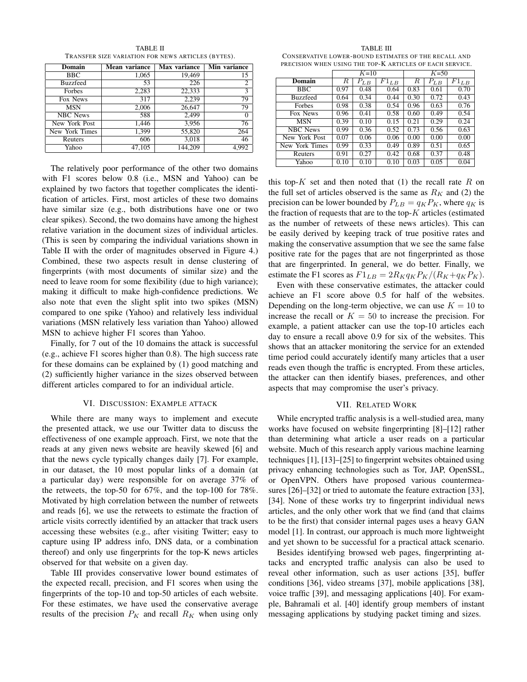TRANSFER SIZE VARIATION FOR NEWS ARTICLES (BYTES). Domain | Mean variance | Max variance | Min variance BBC 1,065 19,469 15 Buzzfeed  $\begin{array}{|c|c|c|c|c|c|} \hline 53 & 226 & 2 \end{array}$ Forbes 2,283  $22,333$  3 Fox News 317 2,239 79<br>MSN 2,006 26,647 79 MSN 2,006 26,647 79 NBC News 588 2,499 0<br>
ew York Post 1,446 3,956 76 New York Post 1,446 3,956 76<br>New York Times 1,399 55,820 264 New York Times 1,399 Reuters 606 3,018 46 Yahoo 47,105 144,209 4,992

TABLE II

The relatively poor performance of the other two domains with F1 scores below 0.8 (i.e., MSN and Yahoo) can be explained by two factors that together complicates the identification of articles. First, most articles of these two domains have similar size (e.g., both distributions have one or two clear spikes). Second, the two domains have among the highest relative variation in the document sizes of individual articles. (This is seen by comparing the individual variations shown in Table II with the order of magnitudes observed in Figure 4.) Combined, these two aspects result in dense clustering of fingerprints (with most documents of similar size) and the need to leave room for some flexibility (due to high variance); making it difficult to make high-confidence predictions. We also note that even the slight split into two spikes (MSN) compared to one spike (Yahoo) and relatively less individual variations (MSN relatively less variation than Yahoo) allowed MSN to achieve higher F1 scores than Yahoo.

Finally, for 7 out of the 10 domains the attack is successful (e.g., achieve F1 scores higher than 0.8). The high success rate for these domains can be explained by (1) good matching and (2) sufficiently higher variance in the sizes observed between different articles compared to for an individual article.

#### VI. DISCUSSION: EXAMPLE ATTACK

While there are many ways to implement and execute the presented attack, we use our Twitter data to discuss the effectiveness of one example approach. First, we note that the reads at any given news website are heavily skewed [6] and that the news cycle typically changes daily [7]. For example, in our dataset, the 10 most popular links of a domain (at a particular day) were responsible for on average 37% of the retweets, the top-50 for 67%, and the top-100 for 78%. Motivated by high correlation between the number of retweets and reads [6], we use the retweets to estimate the fraction of article visits correctly identified by an attacker that track users accessing these websites (e.g., after visiting Twitter; easy to capture using IP address info, DNS data, or a combination thereof) and only use fingerprints for the top-K news articles observed for that website on a given day.

Table III provides conservative lower bound estimates of the expected recall, precision, and F1 scores when using the fingerprints of the top-10 and top-50 articles of each website. For these estimates, we have used the conservative average results of the precision  $P_K$  and recall  $R_K$  when using only

TABLE III CONSERVATIVE LOWER-BOUND ESTIMATES OF THE RECALL AND PRECISION WHEN USING THE TOP-K ARTICLES OF EACH SERVICE.

|                 | $K=10$ |          |           | $K=50$ |          |           |
|-----------------|--------|----------|-----------|--------|----------|-----------|
| Domain          | R      | $P_{LB}$ | $F1_{LB}$ | R      | $P_{LB}$ | $F1_{LB}$ |
| <b>BBC</b>      | 0.97   | 0.48     | 0.64      | 0.83   | 0.61     | 0.70      |
| <b>Buzzfeed</b> | 0.64   | 0.34     | 0.44      | 0.30   | 0.72     | 0.43      |
| Forbes          | 0.98   | 0.38     | 0.54      | 0.96   | 0.63     | 0.76      |
| Fox News        | 0.96   | 0.41     | 0.58      | 0.60   | 0.49     | 0.54      |
| <b>MSN</b>      | 0.39   | 0.10     | 0.15      | 0.21   | 0.29     | 0.24      |
| <b>NBC</b> News | 0.99   | 0.36     | 0.52      | 0.73   | 0.56     | 0.63      |
| New York Post   | 0.07   | 0.06     | 0.06      | 0.00   | 0.00     | 0.00      |
| New York Times  | 0.99   | 0.33     | 0.49      | 0.89   | 0.51     | 0.65      |
| Reuters         | 0.91   | 0.27     | 0.42      | 0.68   | 0.37     | 0.48      |
| Yahoo           | 0.10   | 0.10     | 0.10      | 0.03   | 0.05     | 0.04      |

this top-K set and then noted that  $(1)$  the recall rate R on the full set of articles observed is the same as  $R_K$  and (2) the precision can be lower bounded by  $P_{LB} = q_K P_K$ , where  $q_K$  is the fraction of requests that are to the top- $K$  articles (estimated as the number of retweets of these news articles). This can be easily derived by keeping track of true positive rates and making the conservative assumption that we see the same false positive rate for the pages that are not fingerprinted as those that are fingerprinted. In general, we do better. Finally, we estimate the F1 scores as  $F1_{LB} = 2R_K q_K P_K / (R_K + q_K P_K)$ .

Even with these conservative estimates, the attacker could achieve an F1 score above 0.5 for half of the websites. Depending on the long-term objective, we can use  $K = 10$  to increase the recall or  $K = 50$  to increase the precision. For example, a patient attacker can use the top-10 articles each day to ensure a recall above 0.9 for six of the websites. This shows that an attacker monitoring the service for an extended time period could accurately identify many articles that a user reads even though the traffic is encrypted. From these articles, the attacker can then identify biases, preferences, and other aspects that may compromise the user's privacy.

## VII. RELATED WORK

While encrypted traffic analysis is a well-studied area, many works have focused on website fingerprinting [8]–[12] rather than determining what article a user reads on a particular website. Much of this research apply various machine learning techniques [1], [13]–[25] to fingerprint websites obtained using privacy enhancing technologies such as Tor, JAP, OpenSSL, or OpenVPN. Others have proposed various countermeasures [26]–[32] or tried to automate the feature extraction [33], [34]. None of these works try to fingerprint individual news articles, and the only other work that we find (and that claims to be the first) that consider internal pages uses a heavy GAN model [1]. In contrast, our approach is much more lightweight and yet shown to be successful for a practical attack scenario.

Besides identifying browsed web pages, fingerprinting attacks and encrypted traffic analysis can also be used to reveal other information, such as user actions [35], buffer conditions [36], video streams [37], mobile applications [38], voice traffic [39], and messaging applications [40]. For example, Bahramali et al. [40] identify group members of instant messaging applications by studying packet timing and sizes.